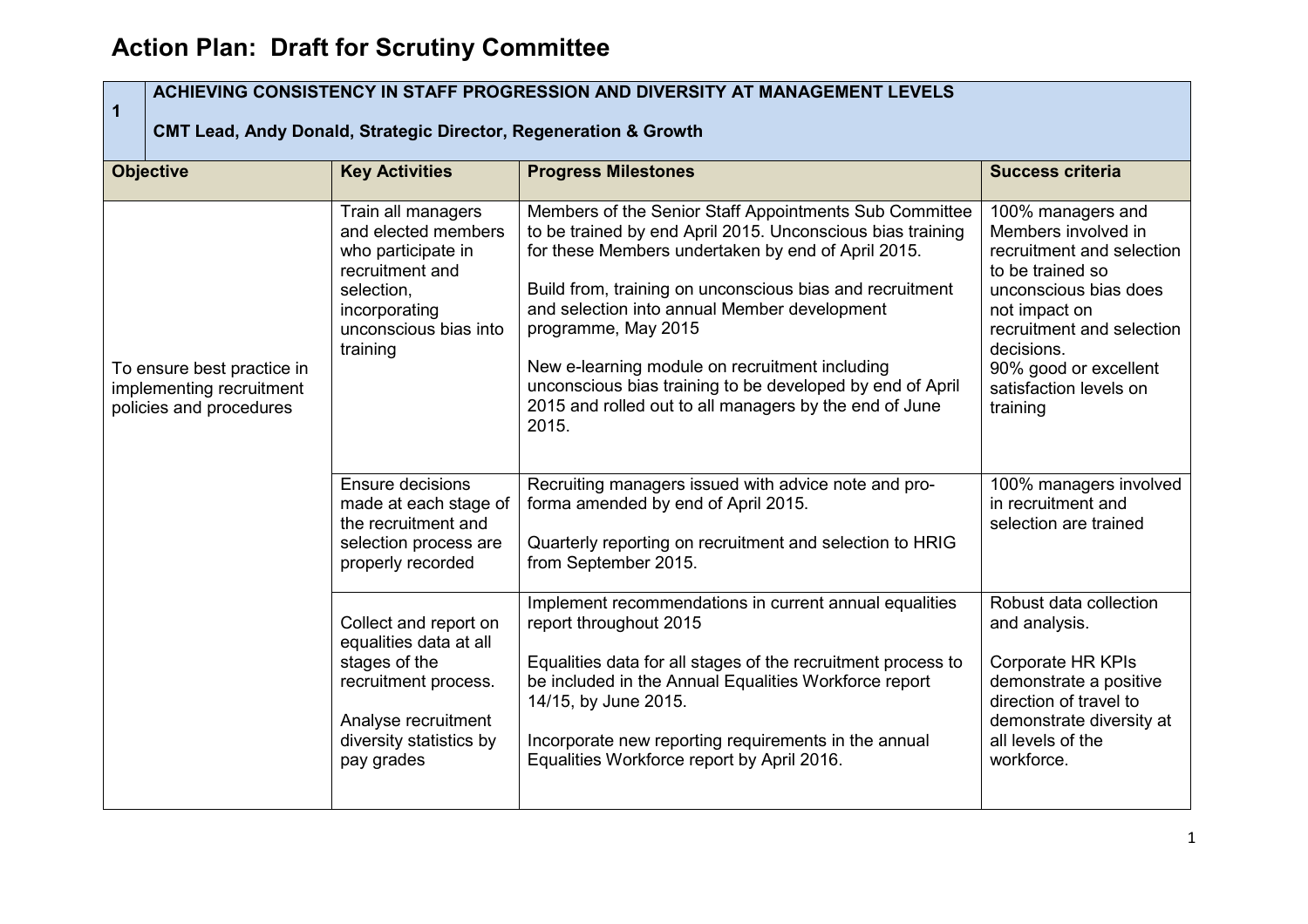## **Action Plan: Draft for Scrutiny Committee**

| ACHIEVING CONSISTENCY IN STAFF PROGRESSION AND DIVERSITY AT MANAGEMENT LEVELS<br>$\overline{1}$<br><b>CMT Lead, Andy Donald, Strategic Director, Regeneration &amp; Growth</b> |                                                                                                                                                          |                                                                                                                                                                                                                                                                                                                                                                                                                                                                                                 |                                                                                                                                                                                                                                               |  |
|--------------------------------------------------------------------------------------------------------------------------------------------------------------------------------|----------------------------------------------------------------------------------------------------------------------------------------------------------|-------------------------------------------------------------------------------------------------------------------------------------------------------------------------------------------------------------------------------------------------------------------------------------------------------------------------------------------------------------------------------------------------------------------------------------------------------------------------------------------------|-----------------------------------------------------------------------------------------------------------------------------------------------------------------------------------------------------------------------------------------------|--|
| <b>Objective</b>                                                                                                                                                               | <b>Key Activities</b>                                                                                                                                    | <b>Progress Milestones</b>                                                                                                                                                                                                                                                                                                                                                                                                                                                                      | <b>Success criteria</b>                                                                                                                                                                                                                       |  |
| To ensure best practice in<br>implementing recruitment<br>policies and procedures                                                                                              | Train all managers<br>and elected members<br>who participate in<br>recruitment and<br>selection,<br>incorporating<br>unconscious bias into<br>training   | Members of the Senior Staff Appointments Sub Committee<br>to be trained by end April 2015. Unconscious bias training<br>for these Members undertaken by end of April 2015.<br>Build from, training on unconscious bias and recruitment<br>and selection into annual Member development<br>programme, May 2015<br>New e-learning module on recruitment including<br>unconscious bias training to be developed by end of April<br>2015 and rolled out to all managers by the end of June<br>2015. | 100% managers and<br>Members involved in<br>recruitment and selection<br>to be trained so<br>unconscious bias does<br>not impact on<br>recruitment and selection<br>decisions.<br>90% good or excellent<br>satisfaction levels on<br>training |  |
|                                                                                                                                                                                | <b>Ensure decisions</b><br>made at each stage of<br>the recruitment and<br>selection process are<br>properly recorded                                    | Recruiting managers issued with advice note and pro-<br>forma amended by end of April 2015.<br>Quarterly reporting on recruitment and selection to HRIG<br>from September 2015.                                                                                                                                                                                                                                                                                                                 | 100% managers involved<br>in recruitment and<br>selection are trained                                                                                                                                                                         |  |
|                                                                                                                                                                                | Collect and report on<br>equalities data at all<br>stages of the<br>recruitment process.<br>Analyse recruitment<br>diversity statistics by<br>pay grades | Implement recommendations in current annual equalities<br>report throughout 2015<br>Equalities data for all stages of the recruitment process to<br>be included in the Annual Equalities Workforce report<br>14/15, by June 2015.<br>Incorporate new reporting requirements in the annual<br>Equalities Workforce report by April 2016.                                                                                                                                                         | Robust data collection<br>and analysis.<br>Corporate HR KPIs<br>demonstrate a positive<br>direction of travel to<br>demonstrate diversity at<br>all levels of the<br>workforce.                                                               |  |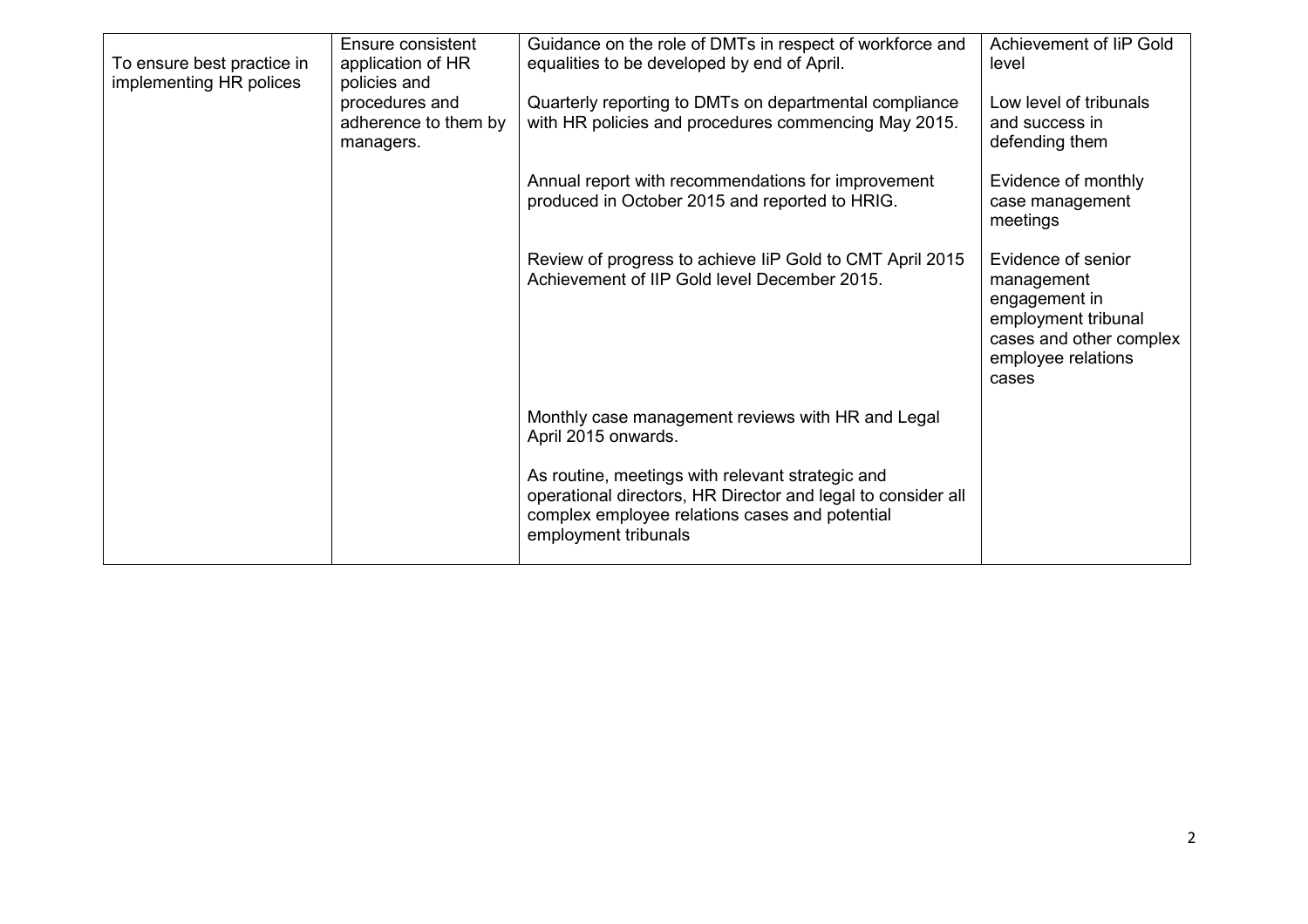| To ensure best practice in<br>implementing HR polices | Ensure consistent<br>application of HR<br>policies and<br>procedures and<br>adherence to them by | Guidance on the role of DMTs in respect of workforce and<br>equalities to be developed by end of April.<br>Quarterly reporting to DMTs on departmental compliance<br>with HR policies and procedures commencing May 2015. | Achievement of IiP Gold<br>level<br>Low level of tribunals<br>and success in                                                       |
|-------------------------------------------------------|--------------------------------------------------------------------------------------------------|---------------------------------------------------------------------------------------------------------------------------------------------------------------------------------------------------------------------------|------------------------------------------------------------------------------------------------------------------------------------|
|                                                       | managers.                                                                                        | Annual report with recommendations for improvement                                                                                                                                                                        | defending them<br>Evidence of monthly                                                                                              |
|                                                       |                                                                                                  | produced in October 2015 and reported to HRIG.                                                                                                                                                                            | case management<br>meetings                                                                                                        |
|                                                       |                                                                                                  | Review of progress to achieve IiP Gold to CMT April 2015<br>Achievement of IIP Gold level December 2015.                                                                                                                  | Evidence of senior<br>management<br>engagement in<br>employment tribunal<br>cases and other complex<br>employee relations<br>cases |
|                                                       |                                                                                                  | Monthly case management reviews with HR and Legal<br>April 2015 onwards.                                                                                                                                                  |                                                                                                                                    |
|                                                       |                                                                                                  | As routine, meetings with relevant strategic and<br>operational directors, HR Director and legal to consider all<br>complex employee relations cases and potential<br>employment tribunals                                |                                                                                                                                    |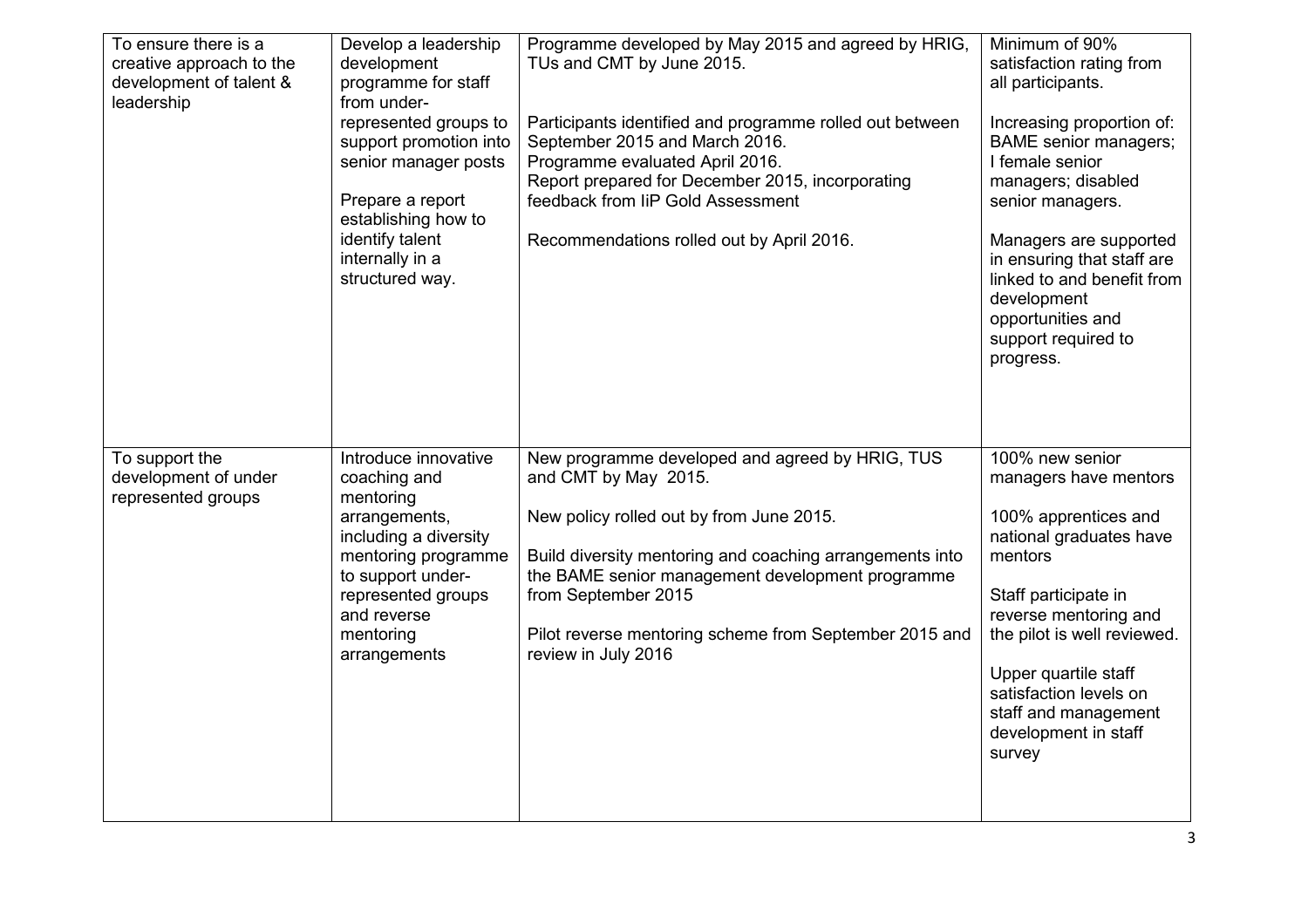| To ensure there is a<br>creative approach to the<br>development of talent &<br>leadership | Develop a leadership<br>development<br>programme for staff<br>from under-<br>represented groups to<br>support promotion into<br>senior manager posts<br>Prepare a report<br>establishing how to<br>identify talent<br>internally in a<br>structured way. | Programme developed by May 2015 and agreed by HRIG,<br>TUs and CMT by June 2015.<br>Participants identified and programme rolled out between<br>September 2015 and March 2016.<br>Programme evaluated April 2016.<br>Report prepared for December 2015, incorporating<br>feedback from IiP Gold Assessment<br>Recommendations rolled out by April 2016. | Minimum of 90%<br>satisfaction rating from<br>all participants.<br>Increasing proportion of:<br><b>BAME</b> senior managers;<br>I female senior<br>managers; disabled<br>senior managers.<br>Managers are supported<br>in ensuring that staff are<br>linked to and benefit from<br>development<br>opportunities and<br>support required to<br>progress. |
|-------------------------------------------------------------------------------------------|----------------------------------------------------------------------------------------------------------------------------------------------------------------------------------------------------------------------------------------------------------|---------------------------------------------------------------------------------------------------------------------------------------------------------------------------------------------------------------------------------------------------------------------------------------------------------------------------------------------------------|---------------------------------------------------------------------------------------------------------------------------------------------------------------------------------------------------------------------------------------------------------------------------------------------------------------------------------------------------------|
| To support the<br>development of under<br>represented groups                              | Introduce innovative<br>coaching and<br>mentoring<br>arrangements,<br>including a diversity<br>mentoring programme<br>to support under-<br>represented groups<br>and reverse<br>mentoring<br>arrangements                                                | New programme developed and agreed by HRIG, TUS<br>and CMT by May 2015.<br>New policy rolled out by from June 2015.<br>Build diversity mentoring and coaching arrangements into<br>the BAME senior management development programme<br>from September 2015<br>Pilot reverse mentoring scheme from September 2015 and<br>review in July 2016             | 100% new senior<br>managers have mentors<br>100% apprentices and<br>national graduates have<br>mentors<br>Staff participate in<br>reverse mentoring and<br>the pilot is well reviewed.<br>Upper quartile staff<br>satisfaction levels on<br>staff and management<br>development in staff<br>survey                                                      |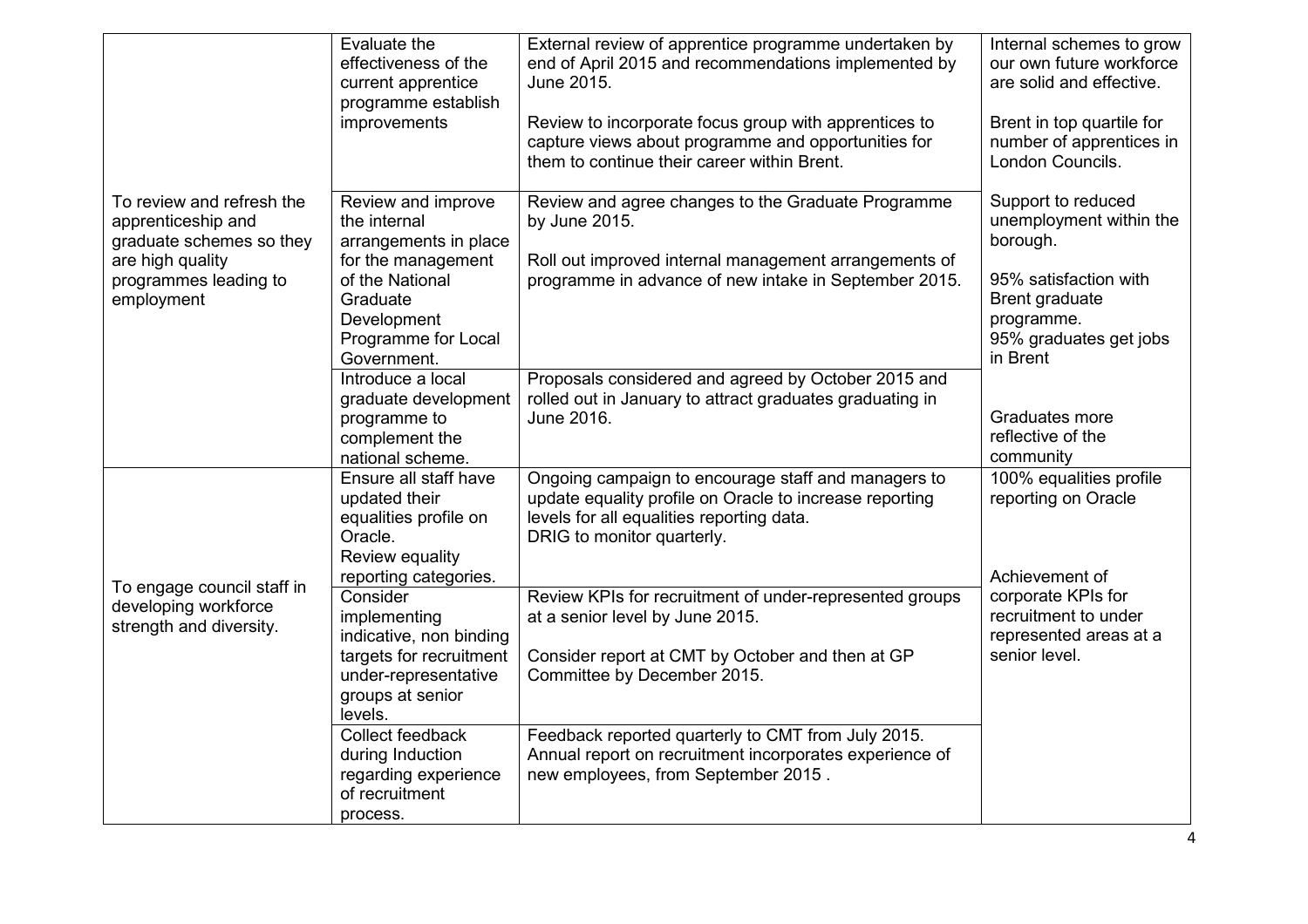|                                                                                                                                        | Evaluate the<br>effectiveness of the<br>current apprentice<br>programme establish<br>improvements                                                                     | External review of apprentice programme undertaken by<br>end of April 2015 and recommendations implemented by<br>June 2015.<br>Review to incorporate focus group with apprentices to<br>capture views about programme and opportunities for<br>them to continue their career within Brent. | Internal schemes to grow<br>our own future workforce<br>are solid and effective.<br>Brent in top quartile for<br>number of apprentices in<br>London Councils. |
|----------------------------------------------------------------------------------------------------------------------------------------|-----------------------------------------------------------------------------------------------------------------------------------------------------------------------|--------------------------------------------------------------------------------------------------------------------------------------------------------------------------------------------------------------------------------------------------------------------------------------------|---------------------------------------------------------------------------------------------------------------------------------------------------------------|
| To review and refresh the<br>apprenticeship and<br>graduate schemes so they<br>are high quality<br>programmes leading to<br>employment | Review and improve<br>the internal<br>arrangements in place<br>for the management<br>of the National<br>Graduate<br>Development<br>Programme for Local<br>Government. | Review and agree changes to the Graduate Programme<br>by June 2015.<br>Roll out improved internal management arrangements of<br>programme in advance of new intake in September 2015.                                                                                                      | Support to reduced<br>unemployment within the<br>borough.<br>95% satisfaction with<br>Brent graduate<br>programme.<br>95% graduates get jobs<br>in Brent      |
|                                                                                                                                        | Introduce a local<br>graduate development<br>programme to<br>complement the<br>national scheme.                                                                       | Proposals considered and agreed by October 2015 and<br>rolled out in January to attract graduates graduating in<br>June 2016.                                                                                                                                                              | Graduates more<br>reflective of the<br>community                                                                                                              |
|                                                                                                                                        | Ensure all staff have<br>updated their<br>equalities profile on<br>Oracle.<br>Review equality<br>reporting categories.                                                | Ongoing campaign to encourage staff and managers to<br>update equality profile on Oracle to increase reporting<br>levels for all equalities reporting data.<br>DRIG to monitor quarterly.                                                                                                  | 100% equalities profile<br>reporting on Oracle<br>Achievement of                                                                                              |
| To engage council staff in<br>developing workforce<br>strength and diversity.                                                          | Consider<br>implementing<br>indicative, non binding<br>targets for recruitment<br>under-representative<br>groups at senior<br>levels.                                 | Review KPIs for recruitment of under-represented groups<br>at a senior level by June 2015.<br>Consider report at CMT by October and then at GP<br>Committee by December 2015.                                                                                                              | corporate KPIs for<br>recruitment to under<br>represented areas at a<br>senior level.                                                                         |
|                                                                                                                                        | Collect feedback<br>during Induction<br>regarding experience<br>of recruitment<br>process.                                                                            | Feedback reported quarterly to CMT from July 2015.<br>Annual report on recruitment incorporates experience of<br>new employees, from September 2015.                                                                                                                                       |                                                                                                                                                               |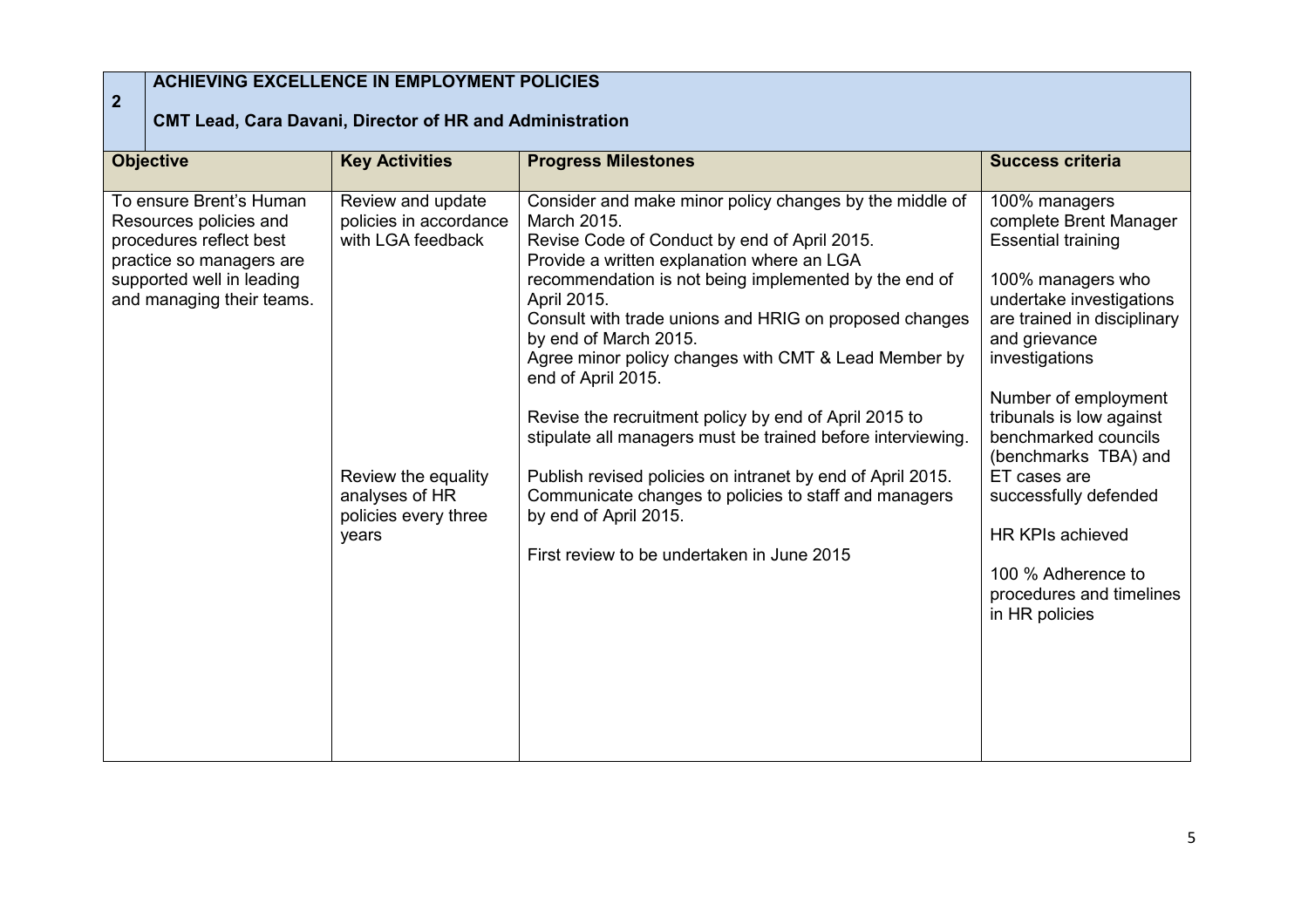## **2**

## **ACHIEVING EXCELLENCE IN EMPLOYMENT POLICIES**

## **CMT Lead, Cara Davani, Director of HR and Administration**

| <b>Objective</b>                                                                                                                                                   | <b>Key Activities</b>                                                  | <b>Progress Milestones</b>                                                                                                                                                                                                                                                                                                                                                                                                                                                                                                            | <b>Success criteria</b>                                                                                                                                                                                                                                             |
|--------------------------------------------------------------------------------------------------------------------------------------------------------------------|------------------------------------------------------------------------|---------------------------------------------------------------------------------------------------------------------------------------------------------------------------------------------------------------------------------------------------------------------------------------------------------------------------------------------------------------------------------------------------------------------------------------------------------------------------------------------------------------------------------------|---------------------------------------------------------------------------------------------------------------------------------------------------------------------------------------------------------------------------------------------------------------------|
| To ensure Brent's Human<br>Resources policies and<br>procedures reflect best<br>practice so managers are<br>supported well in leading<br>and managing their teams. | Review and update<br>policies in accordance<br>with LGA feedback       | Consider and make minor policy changes by the middle of<br>March 2015.<br>Revise Code of Conduct by end of April 2015.<br>Provide a written explanation where an LGA<br>recommendation is not being implemented by the end of<br>April 2015.<br>Consult with trade unions and HRIG on proposed changes<br>by end of March 2015.<br>Agree minor policy changes with CMT & Lead Member by<br>end of April 2015.<br>Revise the recruitment policy by end of April 2015 to<br>stipulate all managers must be trained before interviewing. | 100% managers<br>complete Brent Manager<br><b>Essential training</b><br>100% managers who<br>undertake investigations<br>are trained in disciplinary<br>and grievance<br>investigations<br>Number of employment<br>tribunals is low against<br>benchmarked councils |
|                                                                                                                                                                    | Review the equality<br>analyses of HR<br>policies every three<br>years | Publish revised policies on intranet by end of April 2015.<br>Communicate changes to policies to staff and managers<br>by end of April 2015.<br>First review to be undertaken in June 2015                                                                                                                                                                                                                                                                                                                                            | (benchmarks TBA) and<br>ET cases are<br>successfully defended<br><b>HR KPIs achieved</b><br>100 % Adherence to<br>procedures and timelines<br>in HR policies                                                                                                        |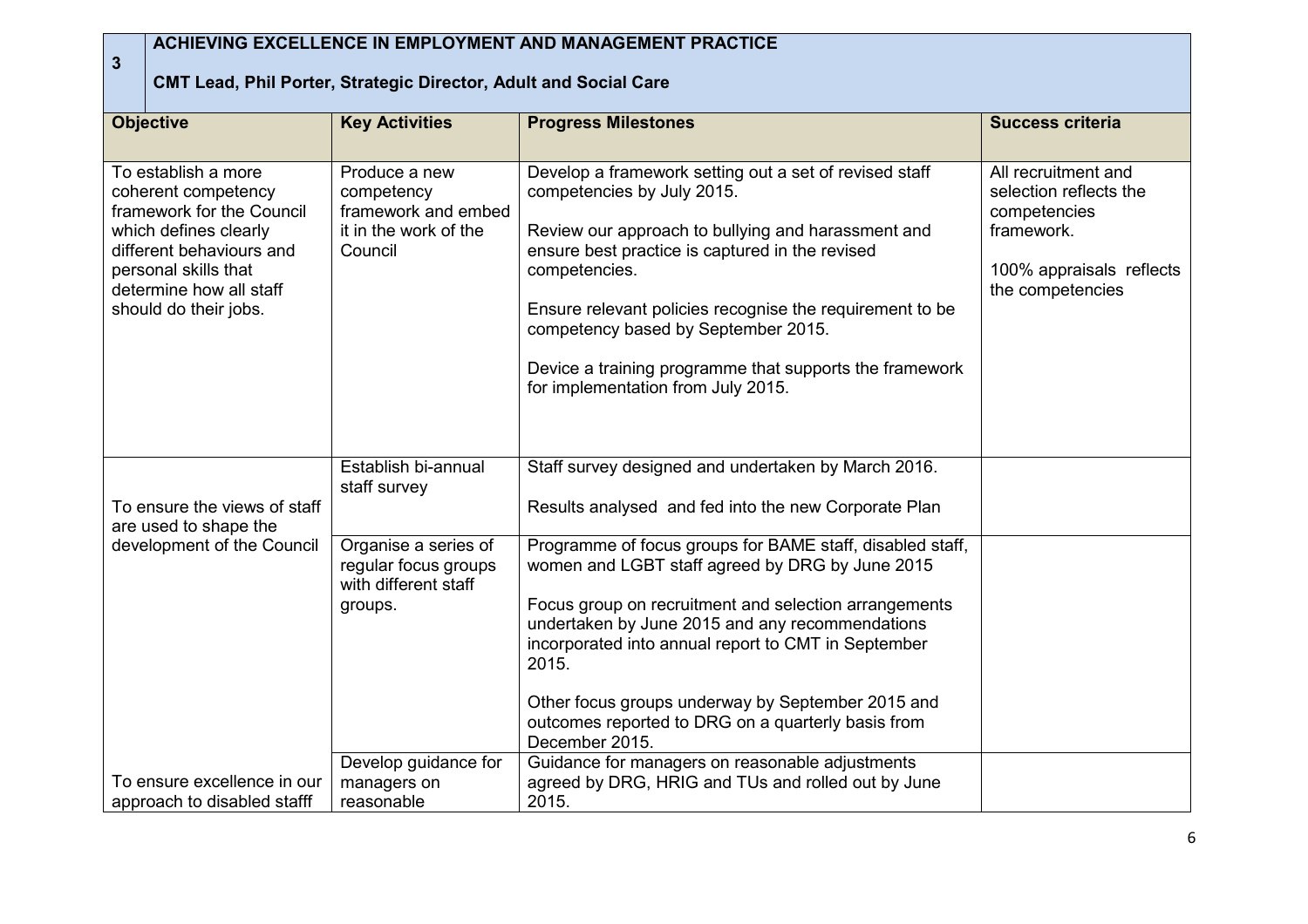| $\overline{3}$ | ACHIEVING EXCELLENCE IN EMPLOYMENT AND MANAGEMENT PRACTICE<br><b>CMT Lead, Phil Porter, Strategic Director, Adult and Social Care</b>                                                                    |                                                                                        |                                                                                                                                                                                                                                                                                                                                                                                                                    |                                                                                                                             |  |
|----------------|----------------------------------------------------------------------------------------------------------------------------------------------------------------------------------------------------------|----------------------------------------------------------------------------------------|--------------------------------------------------------------------------------------------------------------------------------------------------------------------------------------------------------------------------------------------------------------------------------------------------------------------------------------------------------------------------------------------------------------------|-----------------------------------------------------------------------------------------------------------------------------|--|
|                | <b>Objective</b>                                                                                                                                                                                         | <b>Key Activities</b>                                                                  | <b>Progress Milestones</b>                                                                                                                                                                                                                                                                                                                                                                                         | <b>Success criteria</b>                                                                                                     |  |
|                | To establish a more<br>coherent competency<br>framework for the Council<br>which defines clearly<br>different behaviours and<br>personal skills that<br>determine how all staff<br>should do their jobs. | Produce a new<br>competency<br>framework and embed<br>it in the work of the<br>Council | Develop a framework setting out a set of revised staff<br>competencies by July 2015.<br>Review our approach to bullying and harassment and<br>ensure best practice is captured in the revised<br>competencies.<br>Ensure relevant policies recognise the requirement to be<br>competency based by September 2015.<br>Device a training programme that supports the framework<br>for implementation from July 2015. | All recruitment and<br>selection reflects the<br>competencies<br>framework.<br>100% appraisals reflects<br>the competencies |  |
|                | To ensure the views of staff<br>are used to shape the                                                                                                                                                    | Establish bi-annual<br>staff survey                                                    | Staff survey designed and undertaken by March 2016.<br>Results analysed and fed into the new Corporate Plan                                                                                                                                                                                                                                                                                                        |                                                                                                                             |  |
|                | development of the Council                                                                                                                                                                               | Organise a series of<br>regular focus groups<br>with different staff<br>groups.        | Programme of focus groups for BAME staff, disabled staff,<br>women and LGBT staff agreed by DRG by June 2015<br>Focus group on recruitment and selection arrangements<br>undertaken by June 2015 and any recommendations<br>incorporated into annual report to CMT in September<br>2015.<br>Other focus groups underway by September 2015 and<br>outcomes reported to DRG on a quarterly basis from                |                                                                                                                             |  |
|                | To ensure excellence in our<br>approach to disabled stafff                                                                                                                                               | Develop guidance for<br>managers on<br>reasonable                                      | December 2015.<br>Guidance for managers on reasonable adjustments<br>agreed by DRG, HRIG and TUs and rolled out by June<br>2015.                                                                                                                                                                                                                                                                                   |                                                                                                                             |  |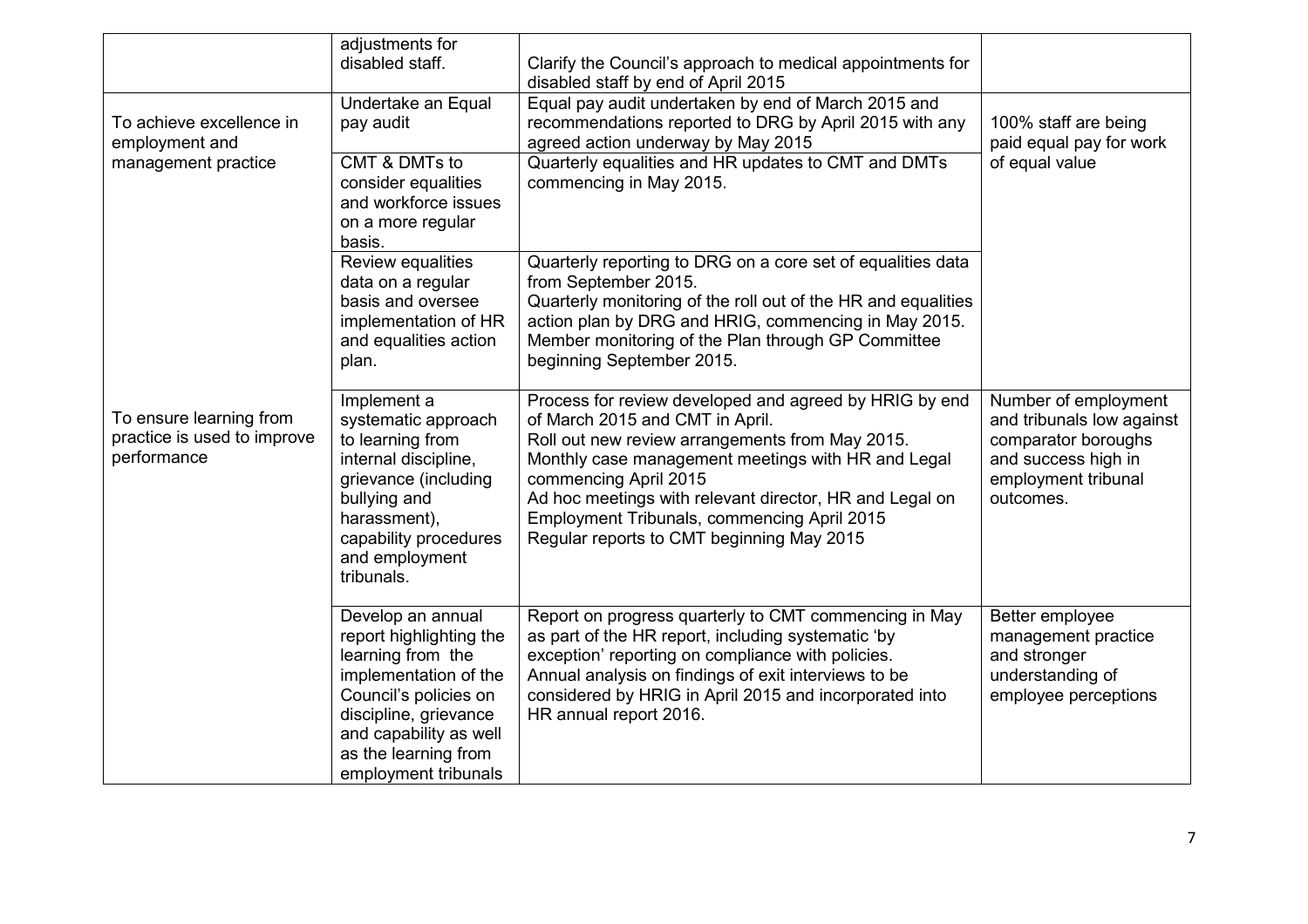|                                                                       | adjustments for<br>disabled staff.                                                                                                                                                                                     | Clarify the Council's approach to medical appointments for<br>disabled staff by end of April 2015                                                                                                                                                                                                                                                                                  |                                                                                                                                     |
|-----------------------------------------------------------------------|------------------------------------------------------------------------------------------------------------------------------------------------------------------------------------------------------------------------|------------------------------------------------------------------------------------------------------------------------------------------------------------------------------------------------------------------------------------------------------------------------------------------------------------------------------------------------------------------------------------|-------------------------------------------------------------------------------------------------------------------------------------|
| To achieve excellence in<br>employment and                            | Undertake an Equal<br>pay audit                                                                                                                                                                                        | Equal pay audit undertaken by end of March 2015 and<br>recommendations reported to DRG by April 2015 with any<br>agreed action underway by May 2015                                                                                                                                                                                                                                | 100% staff are being<br>paid equal pay for work                                                                                     |
| management practice                                                   | CMT & DMTs to<br>consider equalities<br>and workforce issues<br>on a more regular<br>basis.                                                                                                                            | Quarterly equalities and HR updates to CMT and DMTs<br>commencing in May 2015.                                                                                                                                                                                                                                                                                                     | of equal value                                                                                                                      |
|                                                                       | Review equalities<br>data on a regular<br>basis and oversee<br>implementation of HR<br>and equalities action<br>plan.                                                                                                  | Quarterly reporting to DRG on a core set of equalities data<br>from September 2015.<br>Quarterly monitoring of the roll out of the HR and equalities<br>action plan by DRG and HRIG, commencing in May 2015.<br>Member monitoring of the Plan through GP Committee<br>beginning September 2015.                                                                                    |                                                                                                                                     |
| To ensure learning from<br>practice is used to improve<br>performance | Implement a<br>systematic approach<br>to learning from<br>internal discipline,<br>grievance (including<br>bullying and<br>harassment),<br>capability procedures<br>and employment<br>tribunals.                        | Process for review developed and agreed by HRIG by end<br>of March 2015 and CMT in April.<br>Roll out new review arrangements from May 2015.<br>Monthly case management meetings with HR and Legal<br>commencing April 2015<br>Ad hoc meetings with relevant director, HR and Legal on<br>Employment Tribunals, commencing April 2015<br>Regular reports to CMT beginning May 2015 | Number of employment<br>and tribunals low against<br>comparator boroughs<br>and success high in<br>employment tribunal<br>outcomes. |
|                                                                       | Develop an annual<br>report highlighting the<br>learning from the<br>implementation of the<br>Council's policies on<br>discipline, grievance<br>and capability as well<br>as the learning from<br>employment tribunals | Report on progress quarterly to CMT commencing in May<br>as part of the HR report, including systematic 'by<br>exception' reporting on compliance with policies.<br>Annual analysis on findings of exit interviews to be<br>considered by HRIG in April 2015 and incorporated into<br>HR annual report 2016.                                                                       | Better employee<br>management practice<br>and stronger<br>understanding of<br>employee perceptions                                  |